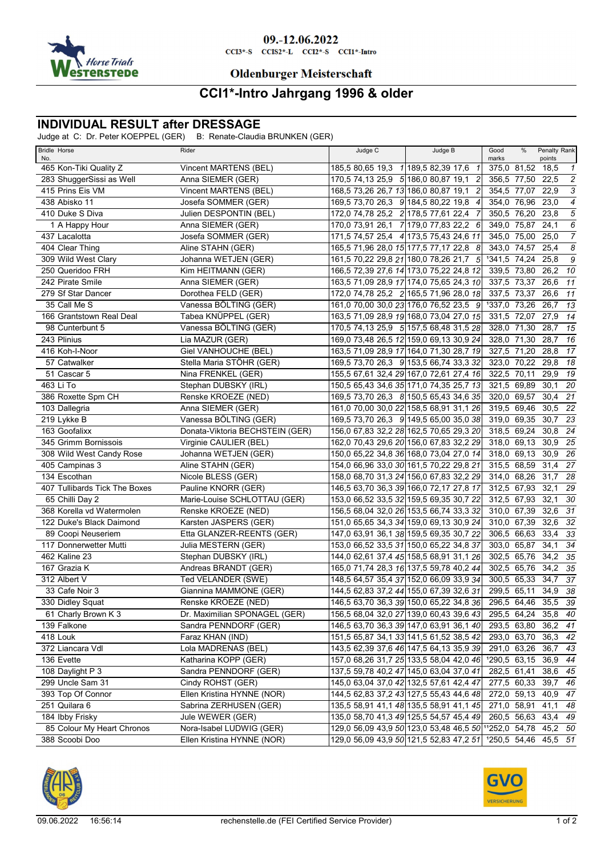

## 09.-12.06.2022

 $CCI3*-S$   $CCI52*-L$   $CCI2*-S$   $CCI1*-Intro$ 

### **Oldenburger Meisterschaft**

## **CCI1\*-Intro Jahrgang 1996 & older**

### **INDIVIDUAL RESULT after DRESSAGE**

Judge at C: Dr. Peter KOEPPEL (GER) B: Renate-Claudia BRUNKEN (GER)

| <b>Bridle Horse</b><br>No.    | Rider                           | Judge C                              | Judge B                                                       | Good<br>marks        | %           | Penalty Rank<br>points |                 |
|-------------------------------|---------------------------------|--------------------------------------|---------------------------------------------------------------|----------------------|-------------|------------------------|-----------------|
| 465 Kon-Tiki Quality Z        | Vincent MARTENS (BEL)           |                                      | 185,5 80,65 19,3 1 189,5 82,39 17,6 1                         |                      | 375,0 81,52 | 18,5                   | $\overline{1}$  |
| 283 ShuggerSissi as Well      | Anna SIEMER (GER)               | 170,5 74,13 25,9 5 186,0 80,87 19,1  | $\vert$ 2                                                     |                      | 356,5 77,50 | 22,5                   | $\sqrt{2}$      |
| 415 Prins Eis VM              | Vincent MARTENS (BEL)           | 168,5 73,26 26,7 13 186,0 80,87 19,1 | 2                                                             |                      | 354,5 77,07 | 22,9                   | 3               |
| 438 Abisko 11                 | Josefa SOMMER (GER)             | 169,5 73,70 26,3 9 184,5 80,22 19,8  | $\overline{4}$                                                |                      | 354,0 76,96 | 23,0                   | $\overline{4}$  |
| 410 Duke S Diva               | Julien DESPONTIN (BEL)          |                                      | 172,0 74,78 25,2 2 178,5 77,61 22,4 7                         |                      | 350,5 76,20 | 23,8                   | $\overline{5}$  |
| 1 A Happy Hour                | Anna SIEMER (GER)               |                                      | 170,0 73,91 26,1 7 179,0 77,83 22,2 6                         |                      | 349,0 75,87 | 24,1                   | 6               |
| 437 Lacalotta                 | Josefa SOMMER (GER)             |                                      | 171,5 74,57 25,4 4 173,5 75,43 24,6 11                        |                      | 345,0 75,00 | 25,0                   | $\overline{7}$  |
| 404 Clear Thing               | Aline STAHN (GER)               |                                      | 165,5 71,96 28,0 15 177,5 77,17 22,8 8                        |                      | 343.0 74.57 | 25,4                   | 8               |
| 309 Wild West Clary           | Johanna WETJEN (GER)            |                                      | 161,5 70,22 29,8 21 180,0 78,26 21,7 5                        | 1341,5 74,24         |             | 25,8                   | $\overline{g}$  |
| 250 Queridoo FRH              | Kim HEITMANN (GER)              |                                      | 166,5 72,39 27,6 14 173,0 75,22 24,8 12                       |                      | 339,5 73,80 | 26,2                   | 10              |
| 242 Pirate Smile              | Anna SIEMER (GER)               |                                      | 163,5 71,09 28,9 17 174,0 75,65 24,3 10                       |                      | 337,5 73,37 | 26,6                   | - 11            |
| 279 Sf Star Dancer            | Dorothea FELD (GER)             |                                      | 172,0 74,78 25,2 2 165,5 71,96 28,0 18                        |                      | 337,5 73,37 | 26,6                   | 11              |
| 35 Call Me S                  | Vanessa BÖLTING (GER)           |                                      | 161,0 70,00 30,0 23 176,0 76,52 23,5 9                        | 1337,0 73,26         |             | 26,7                   | 13              |
| 166 Grantstown Real Deal      | Tabea KNÜPPEL (GER)             |                                      | 163,5 71,09 28,9 19 168,0 73,04 27,0 15                       |                      | 331,5 72,07 | 27,9                   | 14              |
| 98 Cunterbunt 5               | Vanessa BÖLTING (GER)           |                                      | 170,5 74,13 25,9 5 157,5 68,48 31,5 28                        |                      | 328,0 71,30 | 28,7                   | 15              |
| 243 Plinius                   | Lia MAZUR (GER)                 |                                      | 169,0 73,48 26,5 12 159,0 69,13 30,9 24                       |                      | 328,0 71,30 | 28,7                   | 16              |
| 416 Koh-I-Noor                | Giel VANHOUCHE (BEL)            |                                      | 163,5 71,09 28,9 17 164,0 71,30 28,7 19                       |                      | 327,5 71,20 | 28,8                   | 17              |
| 57 Catwalker                  | Stella Maria STÖHR (GER)        |                                      | 169,5 73,70 26,3 9 153,5 66,74 33,3 32                        |                      | 323,0 70,22 | 29,8                   | 18              |
| 51 Cascar 5                   | Nina FRENKEL (GER)              |                                      | 155,5 67,61 32,4 29 167,0 72,61 27,4 16                       |                      | 322,5 70,11 | 29,9                   | 19              |
| 463 Li To                     | Stephan DUBSKY (IRL)            |                                      | 150,5 65,43 34,6 35 171,0 74,35 25,7 13                       |                      | 321,5 69,89 | 30,1                   | 20              |
| 386 Roxette Spm CH            | Renske KROEZE (NED)             |                                      | 169,5 73,70 26,3 8 150,5 65,43 34,6 35                        |                      | 320,0 69,57 | 30,4 21                |                 |
| 103 Dallegria                 | Anna SIEMER (GER)               |                                      | 161,0 70,00 30,0 22 158,5 68,91 31,1 26                       |                      | 319,5 69,46 | 30,5                   | - 22            |
| 219 Lykke B                   | Vanessa BÖLTING (GER)           |                                      | 169,5 73,70 26,3 9 149,5 65,00 35,0 38                        |                      | 319,0 69,35 | 30,7                   | - 23            |
| 163 Goofalixx                 | Donata-Viktoria BECHSTEIN (GER) |                                      | 156,0 67,83 32,2 28 162,5 70,65 29,3 20                       |                      | 318.5 69.24 | 30,8                   | 24              |
| 345 Grimm Bornissois          | Virginie CAULIER (BEL)          |                                      | 162,0 70,43 29,6 20 156,0 67,83 32,2 29                       |                      | 318,0 69,13 | $30,9$ 25              |                 |
| 308 Wild West Candy Rose      | Johanna WETJEN (GER)            |                                      | 150,0 65,22 34,8 36 168,0 73,04 27,0 14                       |                      | 318,0 69,13 | 30,9                   | $\overline{26}$ |
| 405 Campinas 3                | Aline STAHN (GER)               |                                      | 154,0 66,96 33,0 30 161,5 70,22 29,8 21                       |                      | 315,5 68,59 | 31,4                   | 27              |
| 134 Escothan                  | Nicole BLESS (GER)              |                                      | 158,0 68,70 31,3 24 156,0 67,83 32,2 29                       |                      | 314,0 68,26 | 31,7                   | 28              |
| 407 Tullibards Tick The Boxes | Pauline KNORR (GER)             |                                      | 146,5 63,70 36,3 39 166,0 72,17 27,8 17                       |                      | 312,5 67,93 | 32,1                   | 29              |
| 65 Chilli Day 2               | Marie-Louise SCHLOTTAU (GER)    |                                      | 153,0 66,52 33,5 32 159,5 69,35 30,7 22                       |                      | 312,5 67,93 | 32,1                   | 30              |
| 368 Korella vd Watermolen     | Renske KROEZE (NED)             |                                      | 156,5 68,04 32,0 26 153,5 66,74 33,3 32                       |                      | 310,0 67,39 | 32,6                   | 31              |
| 122 Duke's Black Daimond      | Karsten JASPERS (GER)           |                                      | 151,0 65,65 34,3 34 159,0 69,13 30,9 24                       |                      | 310,0 67,39 | 32,6                   | 32              |
| 89 Coopi Neuseriem            | Etta GLANZER-REENTS (GER)       |                                      | 147,0 63,91 36,1 38 159,5 69,35 30,7 22                       |                      | 306,5 66,63 | 33,4                   | 33              |
| 117 Donnerwetter Mutti        | Julia MESTERN (GER)             |                                      | 153,0 66,52 33,5 31 150,0 65,22 34,8 37                       | 303,0 65,87          |             | 34,1                   | 34              |
| 462 Kaline 23                 | Stephan DUBSKY (IRL)            |                                      | 144,0 62,61 37,4 45 158,5 68,91 31,1 26                       |                      | 302,5 65,76 | 34,2 35                |                 |
| 167 Grazia K                  | Andreas BRANDT (GER)            |                                      | 165,0 71,74 28,3 16 137,5 59,78 40,2 44                       |                      | 302,5 65,76 | 34,2 35                |                 |
| 312 Albert V                  | Ted VELANDER (SWE)              |                                      | 148,5 64,57 35,4 37 152,0 66,09 33,9 34                       |                      | 300,5 65,33 | 34,7                   | - 37            |
| 33 Cafe Noir 3                | Giannina MAMMONE (GER)          |                                      | 144,5 62,83 37,2 44 155,0 67,39 32,6 31                       |                      | 299,5 65,11 | 34,9                   | - 38            |
| 330 Didley Squat              | Renske KROEZE (NED)             |                                      | 146,5 63,70 36,3 39 150,0 65,22 34,8 36                       | 296,5 64,46 35,5 39  |             |                        |                 |
| 61 Charly Brown K 3           | Dr. Maximilian SPONAGEL (GER)   |                                      | 156,5 68,04 32,0 27 139,0 60,43 39,6 43                       |                      |             | 295,5 64,24 35,8 40    |                 |
| 139 Falkone                   | Sandra PENNDORF (GER)           |                                      | 146,5 63,70 36,3 39 147,0 63,91 36,1 40                       |                      | 293,5 63,80 | 36,2 41                |                 |
| 418 Louk                      | Faraz KHAN (IND)                |                                      | 151,5 65,87 34,1 33 141,5 61,52 38,5 42                       |                      | 293,0 63,70 | 36,3 42                |                 |
| 372 Liancara Vdl              | Lola MADRENAS (BEL)             |                                      | 143,5 62,39 37,6 46 147,5 64,13 35,9 39                       |                      | 291,0 63,26 | 36,7 43                |                 |
| 136 Evette                    | Katharina KOPP (GER)            |                                      | 157,0 68,26 31,7 25 133,5 58,04 42,0 46                       | 1290,5 63,15 36,9 44 |             |                        |                 |
| 108 Daylight P 3              | Sandra PENNDORF (GER)           |                                      | 137,5 59,78 40,2 47 145,0 63,04 37,0 41                       |                      | 282,5 61,41 | 38,6 45                |                 |
| 299 Uncle Sam 31              | Cindy ROHST (GER)               |                                      | 145,0 63,04 37,0 42 132,5 57,61 42,4 47                       |                      |             | 277,5 60,33 39,7 46    |                 |
| 393 Top Of Connor             | Ellen Kristina HYNNE (NOR)      |                                      | 144,5 62,83 37,2 43 127,5 55,43 44,6 48                       |                      | 272,0 59,13 | 40,9 47                |                 |
| 251 Quilara 6                 | Sabrina ZERHUSEN (GER)          |                                      | 135,5 58,91 41,1 48 135,5 58,91 41,1 45                       |                      | 271,0 58,91 | 41,1 48                |                 |
| 184 Ibby Frisky               | Jule WEWER (GER)                |                                      | 135,0 58,70 41,3 49 125,5 54,57 45,4 49                       |                      | 260,5 56,63 | 43,4 49                |                 |
| 85 Colour My Heart Chronos    | Nora-Isabel LUDWIG (GER)        |                                      | 129,0 56,09 43,9 50 123,0 53,48 46,5 50 11252,0 54,78 45,2 50 |                      |             |                        |                 |
| 388 Scoobi Doo                | Ellen Kristina HYNNE (NOR)      |                                      | 129,0 56,09 43,9 50 121,5 52,83 47,2 51                       | 1250,5 54,46 45,5 51 |             |                        |                 |